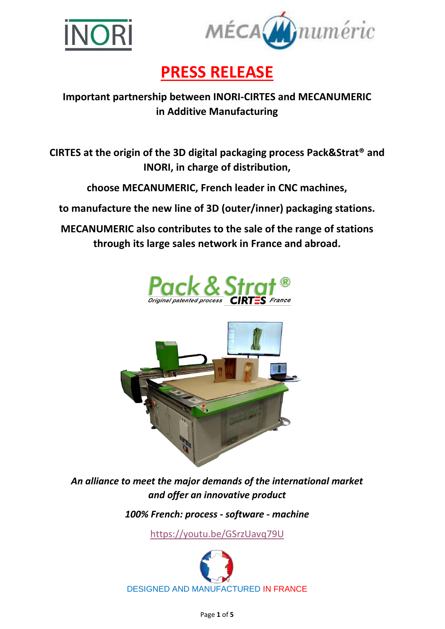



# **PRESS RELEASE**

# **Important partnership between INORI-CIRTES and MECANUMERIC in Additive Manufacturing**

**CIRTES at the origin of the 3D digital packaging process Pack&Strat® and INORI, in charge of distribution,**

**choose MECANUMERIC, French leader in CNC machines,**

**to manufacture the new line of 3D (outer/inner) packaging stations.**

**MECANUMERIC also contributes to the sale of the range of stations through its large sales network in France and abroad.** 





*An alliance to meet the major demands of the international market and offer an innovative product*

*100% French: process - software - machine* 

<https://youtu.be/GSrzUavq79U>

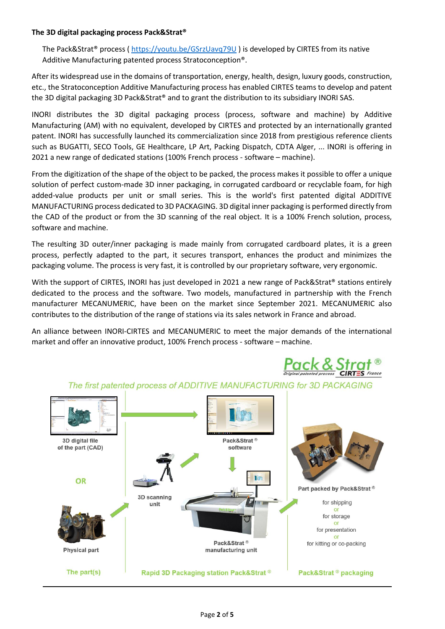# **The 3D digital packaging process Pack&Strat®**

The Pack&Strat® process ( <https://youtu.be/GSrzUavq79U> ) is developed by CIRTES from its native Additive Manufacturing patented process Stratoconception®.

After its widespread use in the domains of transportation, energy, health, design, luxury goods, construction, etc., the Stratoconception Additive Manufacturing process has enabled CIRTES teams to develop and patent the 3D digital packaging 3D Pack&Strat® and to grant the distribution to its subsidiary INORI SAS.

INORI distributes the 3D digital packaging process (process, software and machine) by Additive Manufacturing (AM) with no equivalent, developed by CIRTES and protected by an internationally granted patent. INORI has successfully launched its commercialization since 2018 from prestigious reference clients such as BUGATTI, SECO Tools, GE Healthcare, LP Art, Packing Dispatch, CDTA Alger, ... INORI is offering in 2021 a new range of dedicated stations (100% French process - software – machine).

From the digitization of the shape of the object to be packed, the process makes it possible to offer a unique solution of perfect custom-made 3D inner packaging, in corrugated cardboard or recyclable foam, for high added-value products per unit or small series. This is the world's first patented digital ADDITIVE MANUFACTURING process dedicated to 3D PACKAGING. 3D digital inner packaging is performed directly from the CAD of the product or from the 3D scanning of the real object. It is a 100% French solution, process, software and machine.

The resulting 3D outer/inner packaging is made mainly from corrugated cardboard plates, it is a green process, perfectly adapted to the part, it secures transport, enhances the product and minimizes the packaging volume. The process is very fast, it is controlled by our proprietary software, very ergonomic.

With the support of CIRTES, INORI has just developed in 2021 a new range of Pack&Strat® stations entirely dedicated to the process and the software. Two models, manufactured in partnership with the French manufacturer MECANUMERIC, have been on the market since September 2021. MECANUMERIC also contributes to the distribution of the range of stations via its sales network in France and abroad.

An alliance between INORI-CIRTES and MECANUMERIC to meet the major demands of the international market and offer an innovative product, 100% French process - software – machine.



The first patented process of ADDITIVE MANUFACTURING for 3D PACKAGING

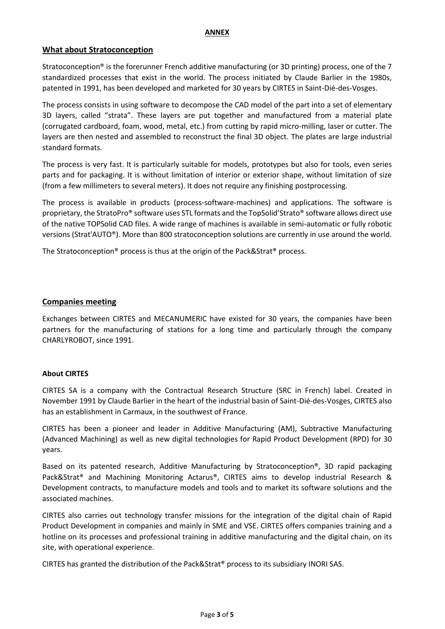#### **ANNEX**

# **What about Stratoconception**

Stratoconception® is the forerunner French additive manufacturing (or 3D printing) process, one of the 7 standardized processes that exist in the world. The process initiated by Claude Barlier in the 1980s, patented in 1991, has been developed and marketed for 30 years by CIRTES in Saint-Dié-des-Vosges.

The process consists in using software to decompose the CAD model of the part into a set of elementary 3D layers, called "strata". These layers are put together and manufactured from a material plate (corrugated cardboard, foam, wood, metal, etc.) from cutting by rapid micro-milling, laser or cutter. The layers are then nested and assembled to reconstruct the final 3D object. The plates are large industrial standard formats.

The process is very fast. It is particularly suitable for models, prototypes but also for tools, even series parts and for packaging. It is without limitation of interior or exterior shape, without limitation of size (from a few millimeters to several meters). It does not require any finishing postprocessing.

The process is available in products (process-software-machines) and applications. The software is proprietary, the StratoPro® software uses STL formats and the TopSolid'Strato® software allows direct use of the native TOPSolid CAD files. A wide range of machines is available in semi-automatic or fully robotic versions (Strat'AUTO®). More than 800 stratoconception solutions are currently in use around the world.

The Stratoconception® process is thus at the origin of the Pack&Strat® process.

# **Companies meeting**

Exchanges between CIRTES and MECANUMERIC have existed for 30 years, the companies have been partners for the manufacturing of stations for a long time and particularly through the company CHARLYROBOT, since 1991.

# **About CIRTES**

CIRTES SA is a company with the Contractual Research Structure (SRC in French) label. Created in November 1991 by Claude Barlier in the heart of the industrial basin of Saint-Dié-des-Vosges, CIRTES also has an establishment in Carmaux, in the southwest of France.

CIRTES has been a pioneer and leader in Additive Manufacturing (AM), Subtractive Manufacturing (Advanced Machining) as well as new digital technologies for Rapid Product Development (RPD) for 30 years.

Based on its patented research, Additive Manufacturing by Stratoconception®, 3D rapid packaging Pack&Strat® and Machining Monitoring Actarus®, CIRTES aims to develop industrial Research & Development contracts, to manufacture models and tools and to market its software solutions and the associated machines.

CIRTES also carries out technology transfer missions for the integration of the digital chain of Rapid Product Development in companies and mainly in SME and VSE. CIRTES offers companies training and a hotline on its processes and professional training in additive manufacturing and the digital chain, on its site, with operational experience.

CIRTES has granted the distribution of the Pack&Strat® process to its subsidiary INORI SAS.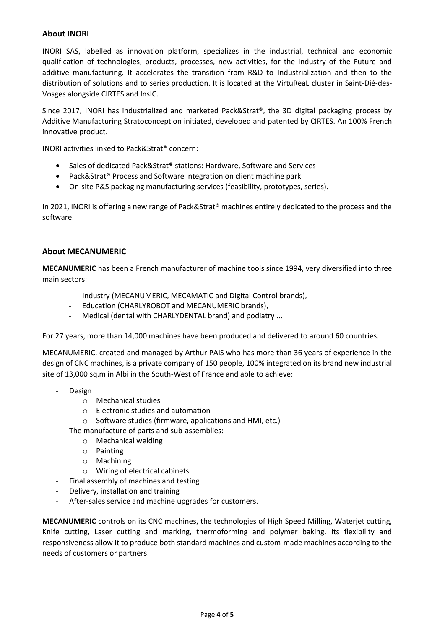# **About INORI**

INORI SAS, labelled as innovation platform, specializes in the industrial, technical and economic qualification of technologies, products, processes, new activities, for the Industry of the Future and additive manufacturing. It accelerates the transition from R&D to Industrialization and then to the distribution of solutions and to series production. It is located at the VirtuReaL cluster in Saint-Dié-des-Vosges alongside CIRTES and InsIC.

Since 2017, INORI has industrialized and marketed Pack&Strat®, the 3D digital packaging process by Additive Manufacturing Stratoconception initiated, developed and patented by CIRTES. An 100% French innovative product.

INORI activities linked to Pack&Strat® concern:

- Sales of dedicated Pack&Strat® stations: Hardware, Software and Services
- Pack&Strat® Process and Software integration on client machine park
- On-site P&S packaging manufacturing services (feasibility, prototypes, series).

In 2021, INORI is offering a new range of Pack&Strat® machines entirely dedicated to the process and the software.

# **About MECANUMERIC**

**MECANUMERIC** has been a French manufacturer of machine tools since 1994, very diversified into three main sectors:

- Industry (MECANUMERIC, MECAMATIC and Digital Control brands),
- Education (CHARLYROBOT and MECANUMERIC brands),
- Medical (dental with CHARLYDENTAL brand) and podiatry ...

For 27 years, more than 14,000 machines have been produced and delivered to around 60 countries.

MECANUMERIC, created and managed by Arthur PAIS who has more than 36 years of experience in the design of CNC machines, is a private company of 150 people, 100% integrated on its brand new industrial site of 13,000 sq.m in Albi in the South-West of France and able to achieve:

- Design
	- o Mechanical studies
	- o Electronic studies and automation
	- o Software studies (firmware, applications and HMI, etc.)
- The manufacture of parts and sub-assemblies:
	- o Mechanical welding
	- o Painting
	- o Machining
	- o Wiring of electrical cabinets
- Final assembly of machines and testing
- Delivery, installation and training
- After-sales service and machine upgrades for customers.

**MECANUMERIC** controls on its CNC machines, the technologies of High Speed Milling, Waterjet cutting, Knife cutting, Laser cutting and marking, thermoforming and polymer baking. Its flexibility and responsiveness allow it to produce both standard machines and custom-made machines according to the needs of customers or partners.